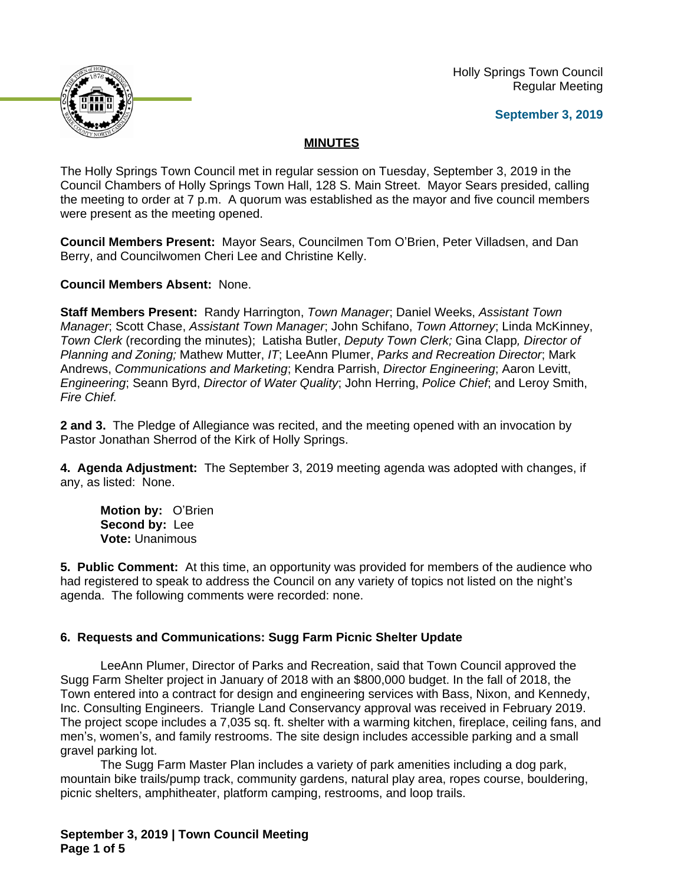

 Holly Springs Town Council Regular Meeting

### **September 3, 2019**

# **MINUTES**

The Holly Springs Town Council met in regular session on Tuesday, September 3, 2019 in the Council Chambers of Holly Springs Town Hall, 128 S. Main Street. Mayor Sears presided, calling the meeting to order at 7 p.m. A quorum was established as the mayor and five council members were present as the meeting opened.

**Council Members Present:** Mayor Sears, Councilmen Tom O'Brien, Peter Villadsen, and Dan Berry, and Councilwomen Cheri Lee and Christine Kelly.

**Council Members Absent:** None.

**Staff Members Present:** Randy Harrington, *Town Manager*; Daniel Weeks, *Assistant Town Manager*; Scott Chase, *Assistant Town Manager*; John Schifano, *Town Attorney*; Linda McKinney, *Town Clerk* (recording the minutes); Latisha Butler, *Deputy Town Clerk;* Gina Clapp*, Director of Planning and Zoning;* Mathew Mutter, *IT*; LeeAnn Plumer, *Parks and Recreation Director*; Mark Andrews, *Communications and Marketing*; Kendra Parrish, *Director Engineering*; Aaron Levitt, *Engineering*; Seann Byrd, *Director of Water Quality*; John Herring, *Police Chief*; and Leroy Smith, *Fire Chief.*

**2 and 3.** The Pledge of Allegiance was recited, and the meeting opened with an invocation by Pastor Jonathan Sherrod of the Kirk of Holly Springs.

**4. Agenda Adjustment:** The September 3, 2019 meeting agenda was adopted with changes, if any, as listed: None.

**Motion by:** O'Brien **Second by:** Lee **Vote:** Unanimous

**5. Public Comment:** At this time, an opportunity was provided for members of the audience who had registered to speak to address the Council on any variety of topics not listed on the night's agenda. The following comments were recorded: none.

# **6. Requests and Communications: Sugg Farm Picnic Shelter Update**

LeeAnn Plumer, Director of Parks and Recreation, said that Town Council approved the Sugg Farm Shelter project in January of 2018 with an \$800,000 budget. In the fall of 2018, the Town entered into a contract for design and engineering services with Bass, Nixon, and Kennedy, Inc. Consulting Engineers. Triangle Land Conservancy approval was received in February 2019. The project scope includes a 7,035 sq. ft. shelter with a warming kitchen, fireplace, ceiling fans, and men's, women's, and family restrooms. The site design includes accessible parking and a small gravel parking lot.

The Sugg Farm Master Plan includes a variety of park amenities including a dog park, mountain bike trails/pump track, community gardens, natural play area, ropes course, bouldering, picnic shelters, amphitheater, platform camping, restrooms, and loop trails.

**September 3, 2019 | Town Council Meeting Page 1 of 5**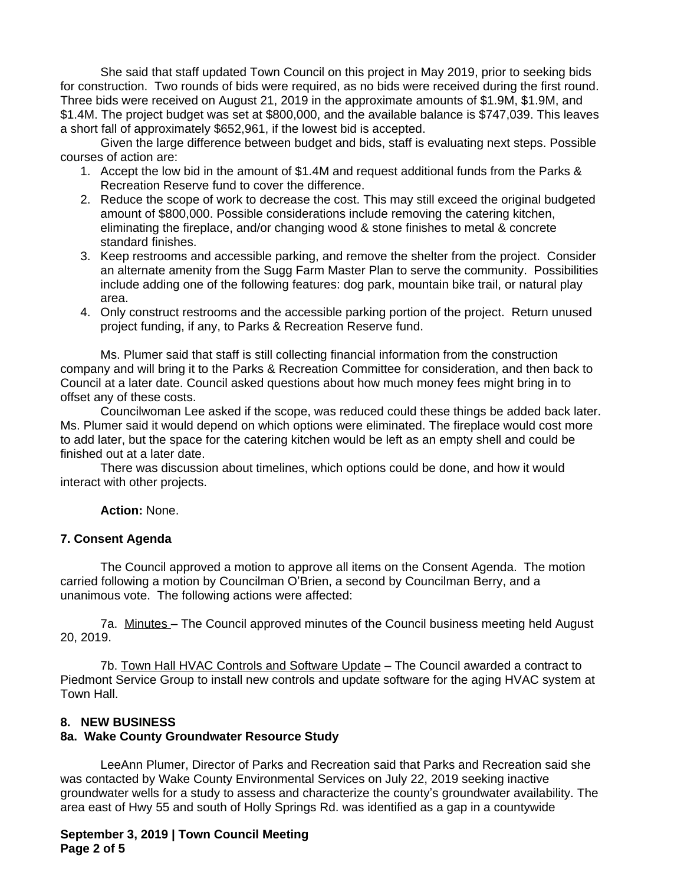She said that staff updated Town Council on this project in May 2019, prior to seeking bids for construction. Two rounds of bids were required, as no bids were received during the first round. Three bids were received on August 21, 2019 in the approximate amounts of \$1.9M, \$1.9M, and \$1.4M. The project budget was set at \$800,000, and the available balance is \$747,039. This leaves a short fall of approximately \$652,961, if the lowest bid is accepted.

Given the large difference between budget and bids, staff is evaluating next steps. Possible courses of action are:

- 1. Accept the low bid in the amount of \$1.4M and request additional funds from the Parks & Recreation Reserve fund to cover the difference.
- 2. Reduce the scope of work to decrease the cost. This may still exceed the original budgeted amount of \$800,000. Possible considerations include removing the catering kitchen, eliminating the fireplace, and/or changing wood & stone finishes to metal & concrete standard finishes.
- 3. Keep restrooms and accessible parking, and remove the shelter from the project. Consider an alternate amenity from the Sugg Farm Master Plan to serve the community. Possibilities include adding one of the following features: dog park, mountain bike trail, or natural play area.
- 4. Only construct restrooms and the accessible parking portion of the project. Return unused project funding, if any, to Parks & Recreation Reserve fund.

Ms. Plumer said that staff is still collecting financial information from the construction company and will bring it to the Parks & Recreation Committee for consideration, and then back to Council at a later date. Council asked questions about how much money fees might bring in to offset any of these costs.

Councilwoman Lee asked if the scope, was reduced could these things be added back later. Ms. Plumer said it would depend on which options were eliminated. The fireplace would cost more to add later, but the space for the catering kitchen would be left as an empty shell and could be finished out at a later date.

There was discussion about timelines, which options could be done, and how it would interact with other projects.

**Action:** None.

# **7. Consent Agenda**

The Council approved a motion to approve all items on the Consent Agenda. The motion carried following a motion by Councilman O'Brien, a second by Councilman Berry, and a unanimous vote. The following actions were affected:

7a. Minutes – The Council approved minutes of the Council business meeting held August 20, 2019.

7b. Town Hall HVAC Controls and Software Update – The Council awarded a contract to Piedmont Service Group to install new controls and update software for the aging HVAC system at Town Hall.

# **8. NEW BUSINESS**

# **8a. Wake County Groundwater Resource Study**

LeeAnn Plumer, Director of Parks and Recreation said that Parks and Recreation said she was contacted by Wake County Environmental Services on July 22, 2019 seeking inactive groundwater wells for a study to assess and characterize the county's groundwater availability. The area east of Hwy 55 and south of Holly Springs Rd. was identified as a gap in a countywide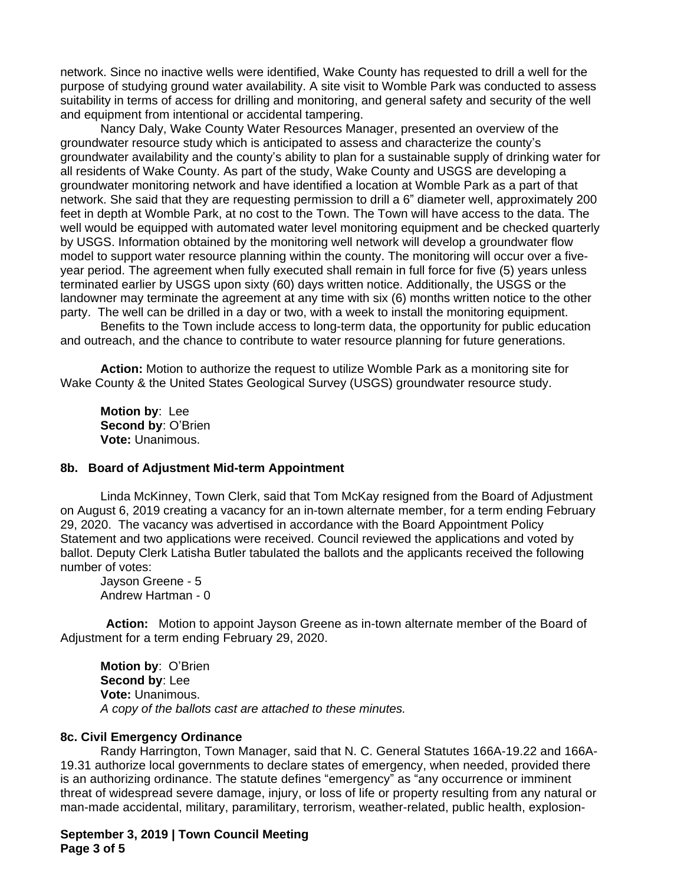network. Since no inactive wells were identified, Wake County has requested to drill a well for the purpose of studying ground water availability. A site visit to Womble Park was conducted to assess suitability in terms of access for drilling and monitoring, and general safety and security of the well and equipment from intentional or accidental tampering.

Nancy Daly, Wake County Water Resources Manager, presented an overview of the groundwater resource study which is anticipated to assess and characterize the county's groundwater availability and the county's ability to plan for a sustainable supply of drinking water for all residents of Wake County. As part of the study, Wake County and USGS are developing a groundwater monitoring network and have identified a location at Womble Park as a part of that network. She said that they are requesting permission to drill a 6" diameter well, approximately 200 feet in depth at Womble Park, at no cost to the Town. The Town will have access to the data. The well would be equipped with automated water level monitoring equipment and be checked quarterly by USGS. Information obtained by the monitoring well network will develop a groundwater flow model to support water resource planning within the county. The monitoring will occur over a fiveyear period. The agreement when fully executed shall remain in full force for five (5) years unless terminated earlier by USGS upon sixty (60) days written notice. Additionally, the USGS or the landowner may terminate the agreement at any time with six (6) months written notice to the other party. The well can be drilled in a day or two, with a week to install the monitoring equipment.

Benefits to the Town include access to long-term data, the opportunity for public education and outreach, and the chance to contribute to water resource planning for future generations.

**Action:** Motion to authorize the request to utilize Womble Park as a monitoring site for Wake County & the United States Geological Survey (USGS) groundwater resource study.

**Motion by**: Lee **Second by**: O'Brien **Vote:** Unanimous.

#### **8b. Board of Adjustment Mid-term Appointment**

Linda McKinney, Town Clerk, said that Tom McKay resigned from the Board of Adjustment on August 6, 2019 creating a vacancy for an in-town alternate member, for a term ending February 29, 2020. The vacancy was advertised in accordance with the Board Appointment Policy Statement and two applications were received. Council reviewed the applications and voted by ballot. Deputy Clerk Latisha Butler tabulated the ballots and the applicants received the following number of votes:

Jayson Greene - 5 Andrew Hartman - 0

**Action:** Motion to appoint Jayson Greene as in-town alternate member of the Board of Adjustment for a term ending February 29, 2020.

**Motion by**: O'Brien **Second by**: Lee **Vote:** Unanimous. *A copy of the ballots cast are attached to these minutes.*

#### **8c. Civil Emergency Ordinance**

Randy Harrington, Town Manager, said that N. C. General Statutes 166A-19.22 and 166A-19.31 authorize local governments to declare states of emergency, when needed, provided there is an authorizing ordinance. The statute defines "emergency" as "any occurrence or imminent threat of widespread severe damage, injury, or loss of life or property resulting from any natural or man-made accidental, military, paramilitary, terrorism, weather-related, public health, explosion-

**September 3, 2019 | Town Council Meeting Page 3 of 5**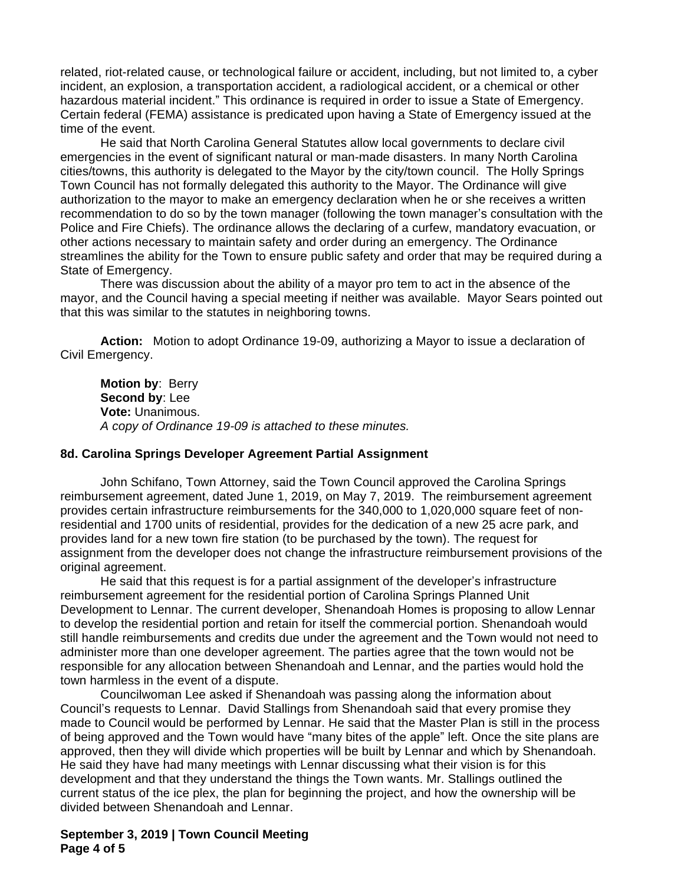related, riot-related cause, or technological failure or accident, including, but not limited to, a cyber incident, an explosion, a transportation accident, a radiological accident, or a chemical or other hazardous material incident." This ordinance is required in order to issue a State of Emergency. Certain federal (FEMA) assistance is predicated upon having a State of Emergency issued at the time of the event.

He said that North Carolina General Statutes allow local governments to declare civil emergencies in the event of significant natural or man-made disasters. In many North Carolina cities/towns, this authority is delegated to the Mayor by the city/town council. The Holly Springs Town Council has not formally delegated this authority to the Mayor. The Ordinance will give authorization to the mayor to make an emergency declaration when he or she receives a written recommendation to do so by the town manager (following the town manager's consultation with the Police and Fire Chiefs). The ordinance allows the declaring of a curfew, mandatory evacuation, or other actions necessary to maintain safety and order during an emergency. The Ordinance streamlines the ability for the Town to ensure public safety and order that may be required during a State of Emergency.

There was discussion about the ability of a mayor pro tem to act in the absence of the mayor, and the Council having a special meeting if neither was available. Mayor Sears pointed out that this was similar to the statutes in neighboring towns.

**Action:** Motion to adopt Ordinance 19-09, authorizing a Mayor to issue a declaration of Civil Emergency.

**Motion by**: Berry **Second by**: Lee **Vote:** Unanimous. *A copy of Ordinance 19-09 is attached to these minutes.*

#### **8d. Carolina Springs Developer Agreement Partial Assignment**

John Schifano, Town Attorney, said the Town Council approved the Carolina Springs reimbursement agreement, dated June 1, 2019, on May 7, 2019. The reimbursement agreement provides certain infrastructure reimbursements for the 340,000 to 1,020,000 square feet of nonresidential and 1700 units of residential, provides for the dedication of a new 25 acre park, and provides land for a new town fire station (to be purchased by the town). The request for assignment from the developer does not change the infrastructure reimbursement provisions of the original agreement.

He said that this request is for a partial assignment of the developer's infrastructure reimbursement agreement for the residential portion of Carolina Springs Planned Unit Development to Lennar. The current developer, Shenandoah Homes is proposing to allow Lennar to develop the residential portion and retain for itself the commercial portion. Shenandoah would still handle reimbursements and credits due under the agreement and the Town would not need to administer more than one developer agreement. The parties agree that the town would not be responsible for any allocation between Shenandoah and Lennar, and the parties would hold the town harmless in the event of a dispute.

Councilwoman Lee asked if Shenandoah was passing along the information about Council's requests to Lennar. David Stallings from Shenandoah said that every promise they made to Council would be performed by Lennar. He said that the Master Plan is still in the process of being approved and the Town would have "many bites of the apple" left. Once the site plans are approved, then they will divide which properties will be built by Lennar and which by Shenandoah. He said they have had many meetings with Lennar discussing what their vision is for this development and that they understand the things the Town wants. Mr. Stallings outlined the current status of the ice plex, the plan for beginning the project, and how the ownership will be divided between Shenandoah and Lennar.

**September 3, 2019 | Town Council Meeting Page 4 of 5**